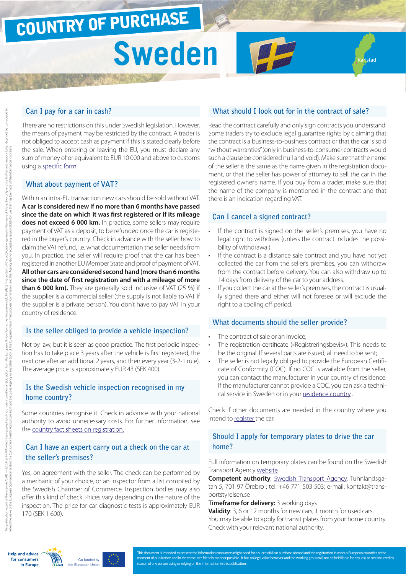# COUNTRY OF PURCHASE

# **Sweden**

#### **Can I pay for a car in cash?**

There are no restrictions on this under Swedish legislation. However, the means of payment may be restricted by the contract. A trader is not obliged to accept cash as payment if this is stated clearly before the sale. When entering or leaving the EU, you must declare any sum of money of or equivalent to EUR 10 000 and above to customs using a [specific form.](http://ec.europa.eu/taxation_customs/resources/documents/customs/customs_controls/cash_controls/declaration_forms/declaration_form_se_en.pdf)

#### **What about payment of VAT?**

Within an intra-EU transaction new cars should be sold without VAT. **A car is considered new if no more than 6 months have passed since the date on which it was first registered or if its mileage does not exceed 6 000 km.** In practice, some sellers may require payment of VAT as a deposit, to be refunded once the car is registered in the buyer's country. Check in advance with the seller how to claim the VAT refund, i.e. what documentation the seller needs from you. In practice, the seller will require proof that the car has been registered in another EU Member State and proof of payment of VAT. **All other cars are considered second hand (more than 6 months since the date of first registration and with a mileage of more than 6 000 km).** They are generally sold inclusive of VAT (25 %) if the supplier is a commercial seller (the supply is not liable to VAT if the supplier is a private person). You don't have to pay VAT in your country of residence.

#### **Is the seller obliged to provide a vehicle inspection?**

Not by law, but it is seen as good practice. The first periodic inspection has to take place 3 years after the vehicle is first registered, the next one after an additional 2 years, and then every year (3-2-1 rule). The average price is approximately EUR 43 (SEK 400).

## **Is the Swedish vehicle inspection recognised in my home country?**

Some countries recognise it. Check in advance with your national authority to avoid unnecessary costs. For further information, see the [country fact sheets on registration.](http://www.europe-consommateurs.eu/en/consumer-topics/on-the-road/buying-a-car/cross-border-car-purchase-and-registration/)

# **Can I have an expert carry out a check on the car at the seller's premises?**

Yes, on agreement with the seller. The check can be performed by a mechanic of your choice, or an inspector from a list compiled by the Swedish Chamber of Commerce. Inspection bodies may also offer this kind of check. Prices vary depending on the nature of the inspection. The price for car diagnostic tests is approximately EUR 170 (SEK 1 600).

# **What should I look out for in the contract of sale?**

lstad

Read the contract carefully and only sign contracts you understand. Some traders try to exclude legal guarantee rights by claiming that the contract is a business-to-business contract or that the car is sold "without warranties" (only in business-to-consumer contracts would such a clause be considered null and void). Make sure that the name of the seller is the same as the name given in the registration document, or that the seller has power of attorney to sell the car in the registered owner's name. If you buy from a trader, make sure that the name of the company is mentioned in the contract and that there is an indication regarding VAT.

## **Can I cancel a signed contract?**

- If the contract is signed on the seller's premises, you have no legal right to withdraw (unless the contract includes the possibility of withdrawal).
- If the contract is a distance sale contract and you have not yet collected the car from the seller's premises, you can withdraw from the contract before delivery. You can also withdraw up to 14 days from delivery of the car to your address.
- If you collect the car at the seller's premises, the contract is usually signed there and either will not foresee or will exclude the right to a cooling off period.

#### **What documents should the seller provide?**

- The contract of sale or an invoice;
- The registration certificate («Registreringsbevis»). This needs to be the original. If several parts are issued, all need to be sent;
- The seller is not legally obliged to provide the European Certificate of Conformity (COC). If no COC is available from the seller, you can contact the manufacturer in your country of residence. If the manufacturer cannot provide a COC, you can ask a technical service in Sweden or in your residence [country](http://www.europe-consommateurs.eu/en/consumer-topics/on-the-road/buying-a-car/cross-border-car-purchase-and-registration/) .

Check if other documents are needed in the country where you intend to [register t](http://www.europe-consommateurs.eu/en/consumer-topics/on-the-road/buying-a-car/cross-border-car-purchase-and-registration/)he car.

# **Should I apply for temporary plates to drive the car home?**

Full information on temporary plates can be found on the Swedish Transport Agency [website](http://www.transportstyrelsen.se/en/road/Vehicles/Export-and-temporary-registration1/Temporary-registration/).

**Competent authority**: [Swedish Transport Agency,](http://www.transportstyrelsen.se/en/road/Vehicles/Export-and-temporary-registration1/) Tunnlandsgatan 5, 701 97 Örebro ; tel: +46 771 503 503; e-mail: kontakt@transportstyrelsen.se

#### **Timeframe for delivery:** 3 working days

**Validity**: 3, 6 or 12 months for new cars, 1 month for used cars. You may be able to apply for transit plates from your home country. Check with your relevant national authority.